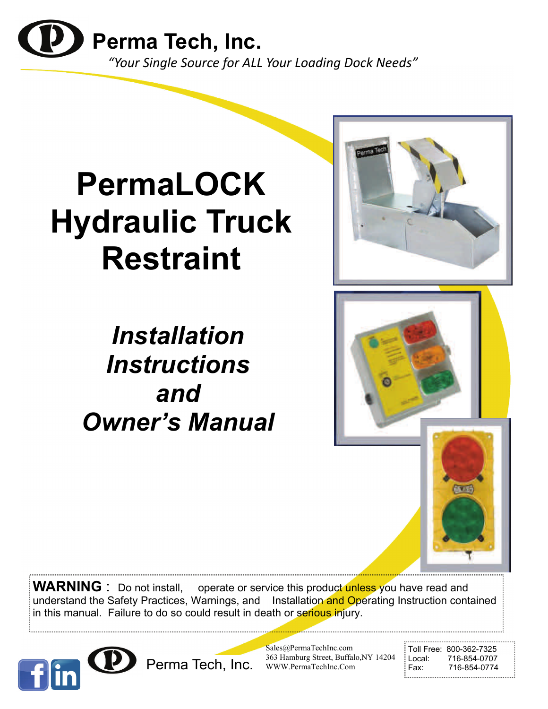

# **PermaLOCK Hydraulic Truck Restraint**

*Installation Instructions and Owner's Manual* 

**WARNING** : Do not install, operate or service this product unless you have read and understand the Safety Practices, Warnings, and Installation and Operating Instruction contained in this manual. Failure to do so could result in death or serious injury.



Sales@PermaTechInc.com 363 Hamburg Street, Buffalo,NY 14204 WWW.PermaTechInc.Com Perma Tech, Inc. 363 Hamburg Street, Buffalo, NY 14204 Local: 716-854-0707<br>Fax: 716-854-0774

Toll Free: 800-362-7325<br>Local: 716-854-0707

高速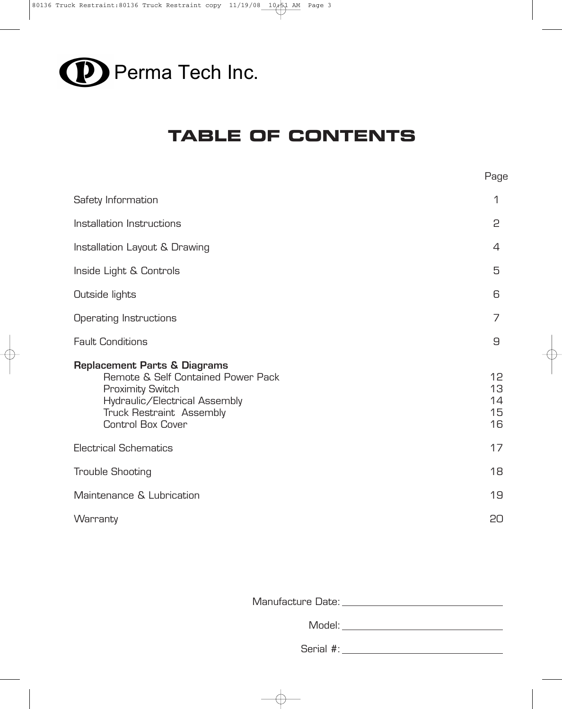

# **TABLE OF CONTENTS**

| Page                       |
|----------------------------|
| 1                          |
| 2                          |
| 4                          |
| 5                          |
| 6                          |
| 7                          |
| 9                          |
| 12<br>13<br>14<br>15<br>16 |
| 17                         |
| 18                         |
| 19                         |
| 20                         |
|                            |

Manufacture Date:

Model: **Model**: **Model**: **Model**: **Model**: **Model**: **Model**: **Model**: **Model**: **Model**: **Model**: **Model**: **Model**: **Model**: **Model**: **Model**: **Model**: **Model**: **Model**: **Model**: **Model**: **Model**: **Model**: **Model**: **Model**:

Serial #: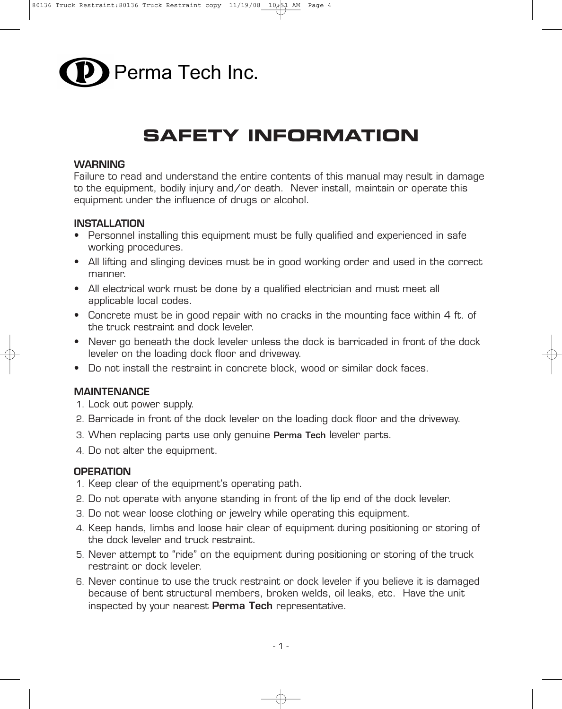

# **SAFETY INFORMATION**

#### **WARNING**

Failure to read and understand the entire contents of this manual may result in damage to the equipment, bodily injury and/or death. Never install, maintain or operate this equipment under the influence of drugs or alcohol.

#### **INSTALLATION**

- Personnel installing this equipment must be fully qualified and experienced in safe working procedures.
- All lifting and slinging devices must be in good working order and used in the correct manner.
- All electrical work must be done by a qualified electrician and must meet all applicable local codes.
- Concrete must be in good repair with no cracks in the mounting face within 4 ft. of the truck restraint and dock leveler.
- Never go beneath the dock leveler unless the dock is barricaded in front of the dock leveler on the loading dock floor and driveway.
- Do not install the restraint in concrete block, wood or similar dock faces.

### **MAINTENANCE**

- 1. Lock out power supply.
- 2. Barricade in front of the dock leveler on the loading dock floor and the driveway.
- 3. When replacing parts use only genuine **Perma Tech** leveler parts.
- 4. Do not alter the equipment.

### **OPERATION**

- 1. Keep clear of the equipment's operating path.
- 2. Do not operate with anyone standing in front of the lip end of the dock leveler.
- 3. Do not wear loose clothing or jewelry while operating this equipment.
- 4. Keep hands, limbs and loose hair clear of equipment during positioning or storing of the dock leveler and truck restraint.
- 5. Never attempt to "ride" on the equipment during positioning or storing of the truck restraint or dock leveler.
- 6. Never continue to use the truck restraint or dock leveler if you believe it is damaged because of bent structural members, broken welds, oil leaks, etc. Have the unit inspected by your nearest **Perma Tech** representative.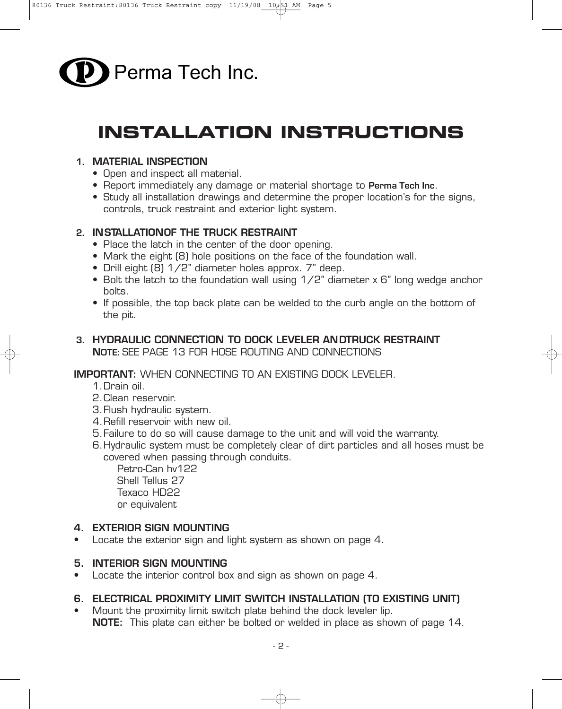

# **INSTALLATION INSTRUCTIONS**

### **1. MATERIAL INSPECTION**

- Open and inspect all material.
- Report immediately any damage or material shortage to **Perma Tech Inc**.
- Study all installation drawings and determine the proper location's for the signs, controls, truck restraint and exterior light system.

### **2. INSTALLATIONOF THE TRUCK RESTRAINT**

- Place the latch in the center of the door opening.
- Mark the eight (8) hole positions on the face of the foundation wall.
- Drill eight (8) 1/2" diameter holes approx. 7" deep.
- Bolt the latch to the foundation wall using 1/2" diameter x 6" long wedge anchor bolts.
- If possible, the top back plate can be welded to the curb angle on the bottom of the pit.

## **3. HYDRAULIC CONNECTION TO DOCK LEVELER ANDTRUCK RESTRAINT NOTE:** SEE PAGE 13 FOR HOSE ROUTING AND CONNECTIONS

### **IMPORTANT:** WHEN CONNECTING TO AN EXISTING DOCK LEVELER.

- 1.Drain oil.
- 2.Clean reservoir.
- 3.Flush hydraulic system.
- 4.Refill reservoir with new oil.
- 5.Failure to do so will cause damage to the unit and will void the warranty.
- 6.Hydraulic system must be completely clear of dirt particles and all hoses must be covered when passing through conduits.

Petro-Can hv122 Shell Tellus 27 Texaco HD22 or equivalent

## **4. EXTERIOR SIGN MOUNTING**

• Locate the exterior sign and light system as shown on page 4.

## **5. INTERIOR SIGN MOUNTING**

• Locate the interior control box and sign as shown on page 4.

# **6. ELECTRICAL PROXIMITY LIMIT SWITCH INSTALLATION (TO EXISTING UNIT)**

Mount the proximity limit switch plate behind the dock leveler lip. **NOTE:** This plate can either be bolted or welded in place as shown of page 14.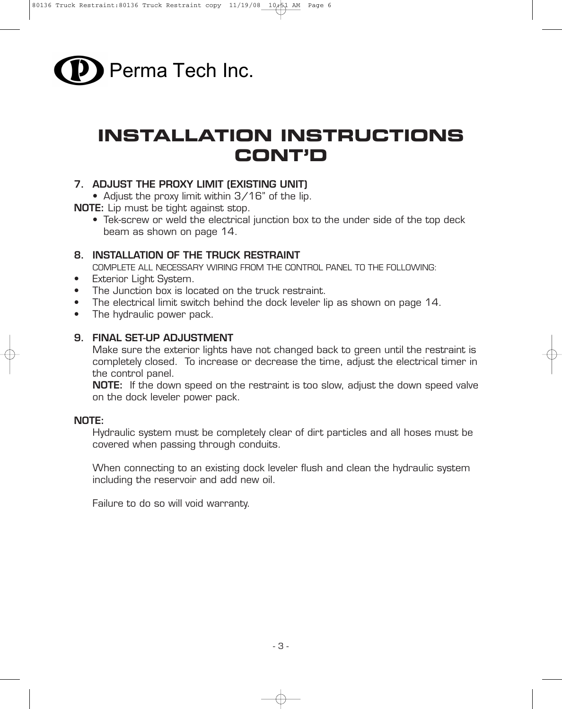

# **INSTALLATION INSTRUCTIONS CONT'D**

## **7. ADJUST THE PROXY LIMIT (EXISTING UNIT)**

• Adjust the proxy limit within 3/16" of the lip.

**NOTE:** Lip must be tight against stop.

• Tek-screw or weld the electrical junction box to the under side of the top deck beam as shown on page 14.

### **8. INSTALLATION OF THE TRUCK RESTRAINT**

COMPLETE ALL NECESSARY WIRING FROM THE CONTROL PANEL TO THE FOLLOWING:

- Exterior Light System.
- The Junction box is located on the truck restraint.
- The electrical limit switch behind the dock leveler lip as shown on page 14.
- The hydraulic power pack.

### **9. FINAL SET-UP ADJUSTMENT**

Make sure the exterior lights have not changed back to green until the restraint is completely closed. To increase or decrease the time, adjust the electrical timer in the control panel.

**NOTE:** If the down speed on the restraint is too slow, adjust the down speed valve on the dock leveler power pack.

### **NOTE:**

Hydraulic system must be completely clear of dirt particles and all hoses must be covered when passing through conduits.

When connecting to an existing dock leveler flush and clean the hydraulic system including the reservoir and add new oil.

Failure to do so will void warranty.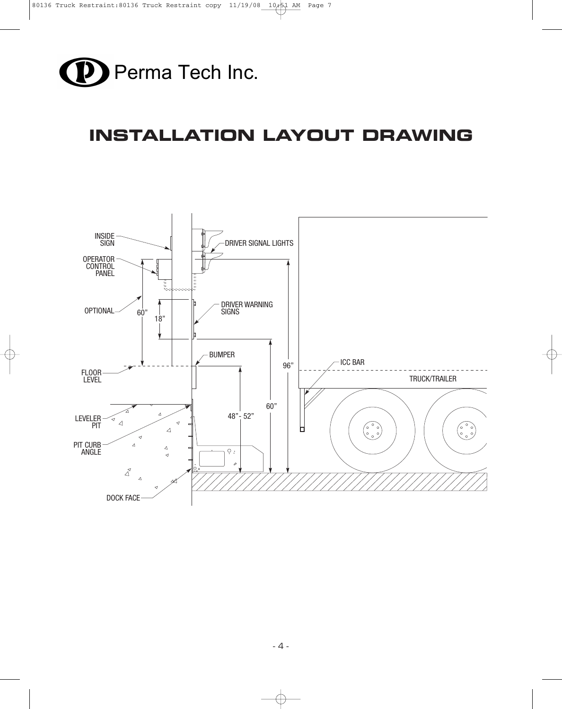

# **INSTALLATION LAYOUT DRAWING**

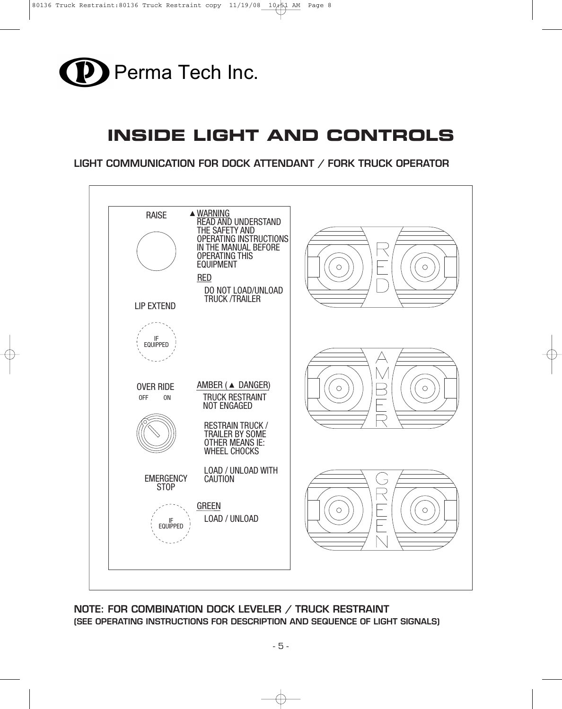

# **INSIDE LIGHT AND CONTROLS**

**LIGHT COMMUNICATION FOR DOCK ATTENDANT / FORK TRUCK OPERATOR**



### **NOTE: FOR COMBINATION DOCK LEVELER / TRUCK RESTRAINT (SEE OPERATING INSTRUCTIONS FOR DESCRIPTION AND SEQUENCE OF LIGHT SIGNALS)**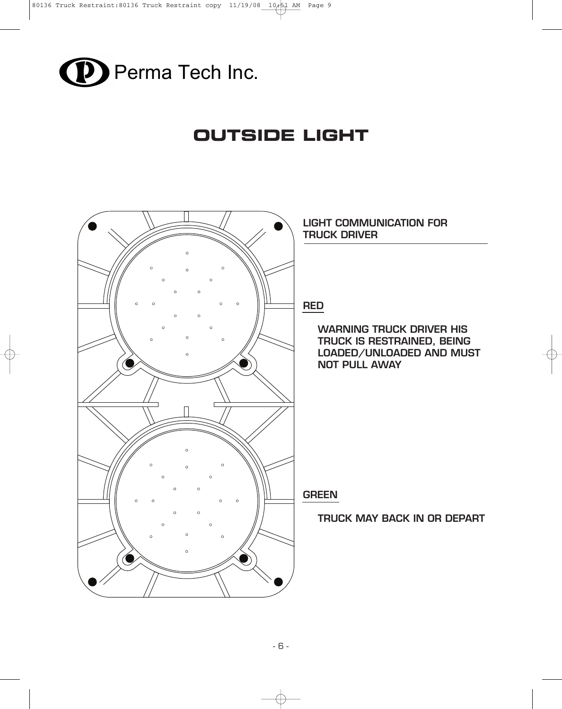

# **OUTSIDE LIGHT**

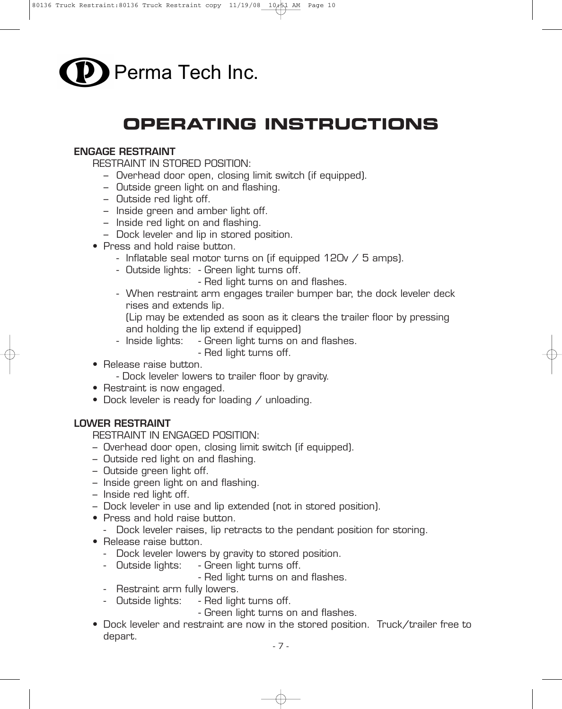

# **OPERATING INSTRUCTIONS**

### **ENGAGE RESTRAINT**

RESTRAINT IN STORED POSITION:

- Overhead door open, closing limit switch (if equipped).
- Outside green light on and flashing.
- Outside red light off.
- Inside green and amber light off.
- Inside red light on and flashing.
- Dock leveler and lip in stored position.
- Press and hold raise button.
	- Inflatable seal motor turns on (if equipped 120v / 5 amps).
	- Outside lights: Green light turns off.
		- Red light turns on and flashes.
	- When restraint arm engages trailer bumper bar, the dock leveler deck rises and extends lip.

(Lip may be extended as soon as it clears the trailer floor by pressing and holding the lip extend if equipped)

- Inside lights: Green light turns on and flashes.
	- Red light turns off.
- Release raise button.
	- Dock leveler lowers to trailer floor by gravity.
- Restraint is now engaged.
- Dock leveler is ready for loading / unloading.

### **LOWER RESTRAINT**

RESTRAINT IN ENGAGED POSITION:

- Overhead door open, closing limit switch (if equipped).
- Outside red light on and flashing.
- Outside green light off.
- Inside green light on and flashing.
- Inside red light off.
- Dock leveler in use and lip extended (not in stored position).
- Press and hold raise button.
	- Dock leveler raises, lip retracts to the pendant position for storing.
- Release raise button.
	- Dock leveler lowers by gravity to stored position.
	- Outside lights: Green light turns off.
		- Red light turns on and flashes.
	- Restraint arm fully lowers.
	- Outside lights: Red light turns off.
		- Green light turns on and flashes.
- Dock leveler and restraint are now in the stored position. Truck/trailer free to depart.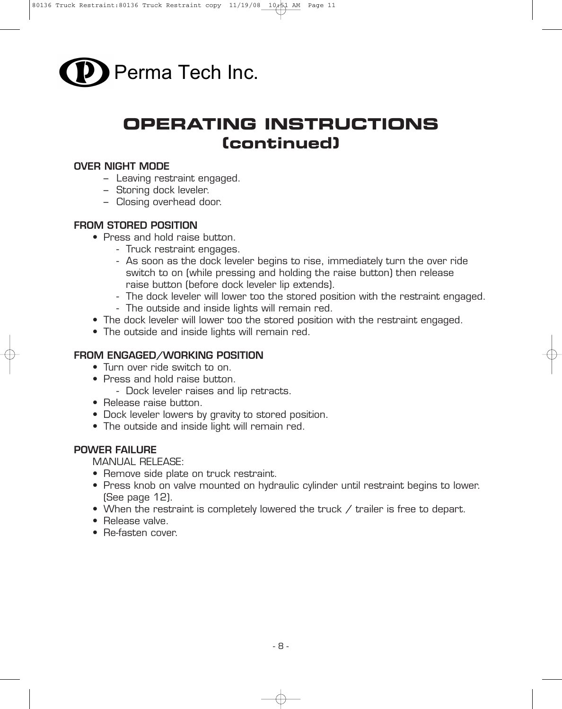

# **OPERATING INSTRUCTIONS (continued)**

#### **OVER NIGHT MODE**

- Leaving restraint engaged.
- Storing dock leveler.
- Closing overhead door.

### **FROM STORED POSITION**

- Press and hold raise button.
	- Truck restraint engages.
	- As soon as the dock leveler begins to rise, immediately turn the over ride switch to on (while pressing and holding the raise button) then release raise button (before dock leveler lip extends).
	- The dock leveler will lower too the stored position with the restraint engaged.
	- The outside and inside lights will remain red.
- The dock leveler will lower too the stored position with the restraint engaged.
- The outside and inside lights will remain red.

### **FROM ENGAGED/WORKING POSITION**

- Turn over ride switch to on.
- Press and hold raise button.
	- Dock leveler raises and lip retracts.
- Release raise button.
- Dock leveler lowers by gravity to stored position.
- The outside and inside light will remain red.

#### **POWER FAILURE**

MANUAL RELEASE:

- Remove side plate on truck restraint.
- Press knob on valve mounted on hydraulic cylinder until restraint begins to lower. (See page 12).
- When the restraint is completely lowered the truck / trailer is free to depart.
- Release valve.
- Re-fasten cover.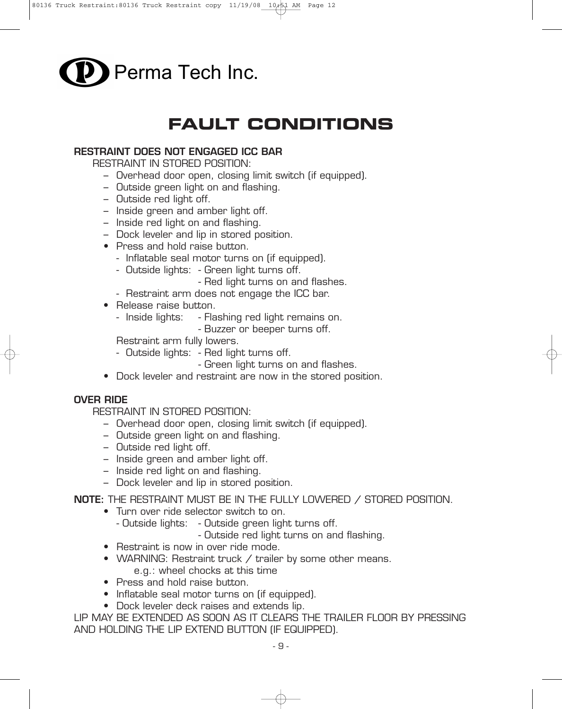

# **FAULT CONDITIONS**

### **RESTRAINT DOES NOT ENGAGED ICC BAR**

RESTRAINT IN STORED POSITION:

- Overhead door open, closing limit switch (if equipped).
- Outside green light on and flashing.
- Outside red light off.
- Inside green and amber light off.
- Inside red light on and flashing.
- Dock leveler and lip in stored position.
- Press and hold raise button.
	- Inflatable seal motor turns on (if equipped).
	- Outside lights: Green light turns off.
		- Red light turns on and flashes.
	- Restraint arm does not engage the ICC bar.
- Release raise button.
	- Inside lights: Flashing red light remains on.
		- Buzzer or beeper turns off.

Restraint arm fully lowers.

- Outside lights: Red light turns off.
	- Green light turns on and flashes.
- Dock leveler and restraint are now in the stored position.

#### **OVER RIDE**

RESTRAINT IN STORED POSITION:

- Overhead door open, closing limit switch (if equipped).
- Outside green light on and flashing.
- Outside red light off.
- Inside green and amber light off.
- Inside red light on and flashing.
- Dock leveler and lip in stored position.

**NOTE:** THE RESTRAINT MUST BE IN THE FULLY LOWERED / STORED POSITION.

- Turn over ride selector switch to on.
	- Outside lights: Outside green light turns off.

- Outside red light turns on and flashing.

- Restraint is now in over ride mode.
- WARNING: Restraint truck / trailer by some other means. e.g.: wheel chocks at this time
- Press and hold raise button.
- Inflatable seal motor turns on (if equipped).
- Dock leveler deck raises and extends lip.

LIP MAY BE EXTENDED AS SOON AS IT CLEARS THE TRAILER FLOOR BY PRESSING AND HOLDING THE LIP EXTEND BUTTON (IF EQUIPPED).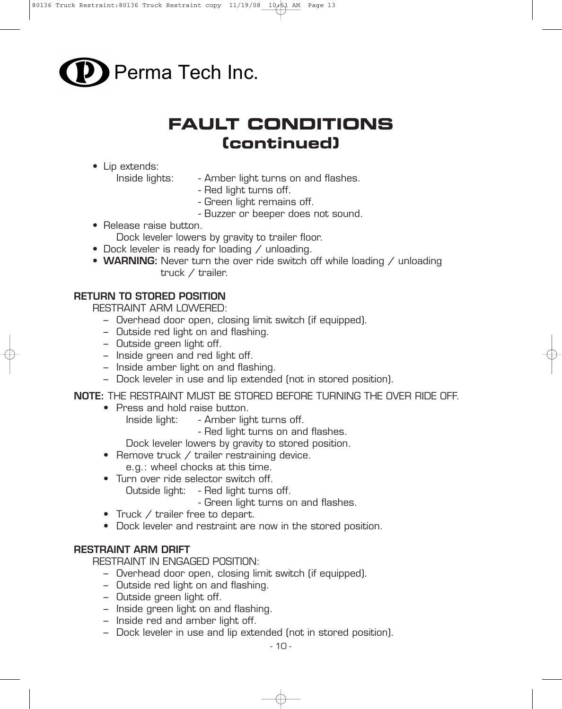

# **FAULT CONDITIONS (continued)**

- Lip extends:
	- Inside lights: Amber light turns on and flashes.
		- Red light turns off.
		- Green light remains off.
		- Buzzer or beeper does not sound.
- Release raise button.
	- Dock leveler lowers by gravity to trailer floor.
- Dock leveler is ready for loading / unloading.
- **WARNING:** Never turn the over ride switch off while loading / unloading truck / trailer.

### **RETURN TO STORED POSITION**

RESTRAINT ARM LOWERED:

- Overhead door open, closing limit switch (if equipped).
- Outside red light on and flashing.
- Outside green light off.
- Inside green and red light off.
- Inside amber light on and flashing.
- Dock leveler in use and lip extended (not in stored position).

**NOTE:** THE RESTRAINT MUST BE STORED BEFORE TURNING THE OVER RIDE OFF.

- Press and hold raise button.
	- Inside light: Amber light turns off.

- Red light turns on and flashes.

Dock leveler lowers by gravity to stored position.

- Remove truck / trailer restraining device.
	- e.g.: wheel chocks at this time.
- Turn over ride selector switch off.
	- Outside light: Red light turns off.
		- Green light turns on and flashes.
- Truck / trailer free to depart.
- Dock leveler and restraint are now in the stored position.

### **RESTRAINT ARM DRIFT**

RESTRAINT IN ENGAGED POSITION:

- Overhead door open, closing limit switch (if equipped).
- Outside red light on and flashing.
- Outside green light off.
- Inside green light on and flashing.
- Inside red and amber light off.
- Dock leveler in use and lip extended (not in stored position).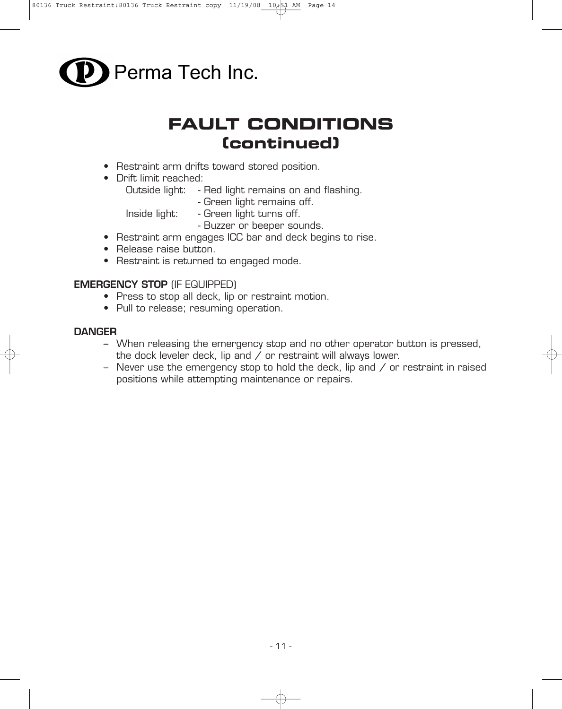

# **FAULT CONDITIONS (continued)**

- Restraint arm drifts toward stored position.
- Drift limit reached:
	- Outside light: Red light remains on and flashing.
		- Green light remains off.

Inside light: - Green light turns off.

- Buzzer or beeper sounds.
- Restraint arm engages ICC bar and deck begins to rise.
- Release raise button.
- Restraint is returned to engaged mode.

### **EMERGENCY STOP** (IF EQUIPPED)

- Press to stop all deck, lip or restraint motion.
- Pull to release; resuming operation.

#### **DANGER**

- When releasing the emergency stop and no other operator button is pressed, the dock leveler deck, lip and / or restraint will always lower.
- Never use the emergency stop to hold the deck, lip and / or restraint in raised positions while attempting maintenance or repairs.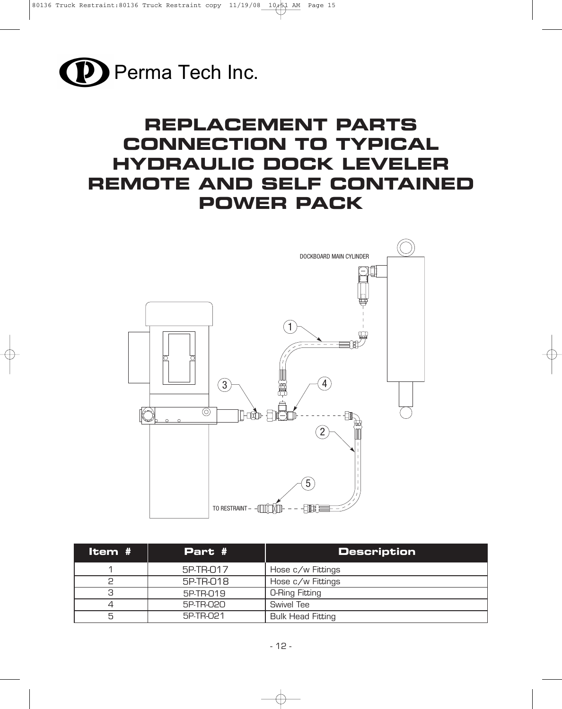

# **REPLACEMENT PARTS CONNECTION TO TYPICAL HYDRAULIC DOCK LEVELER REMOTE AND SELF CONTAINED POWER PACK**



| Item # | Part #    | <b>Description</b>       |
|--------|-----------|--------------------------|
|        | 5P-TR-017 | Hose c/w Fittings        |
|        | 5P-TR-018 | Hose c/w Fittings        |
| З      | 5P-TR-019 | <b>O-Ring Fitting</b>    |
|        | 5P-TR-020 | Swivel Tee               |
| 5      | 5P-TR-021 | <b>Bulk Head Fitting</b> |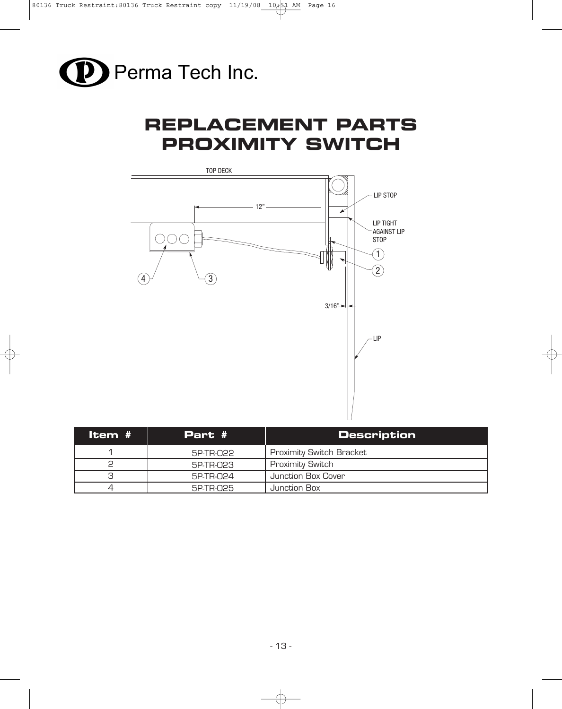

# **REPLACEMENT PARTS PROXIMITY SWITCH**



| Item # | Part #    | <b>Description</b>              |
|--------|-----------|---------------------------------|
|        | 5P-TR-022 | <b>Proximity Switch Bracket</b> |
|        | 5P-TR-023 | <b>Proximity Switch</b>         |
| 3      | 5P-TR-024 | Junction Box Cover              |
|        | 5P-TR-025 | Junction Box                    |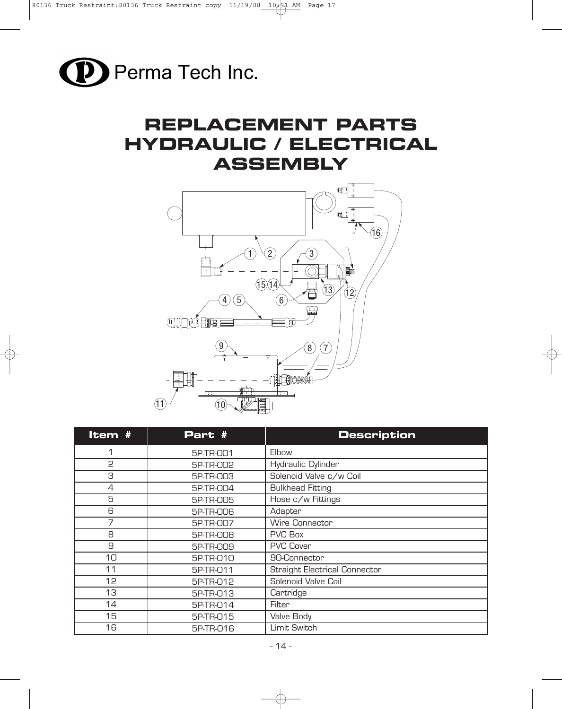

# **REPLACEMENT PARTS HYDRAULIC / ELECTRICAL ASSEMBLY**



| Item #         | Part #    | <b>Description</b>                   |
|----------------|-----------|--------------------------------------|
| 1              | 5P-TR-001 | Elbow                                |
| 2              | 5P-TR-002 | Hydraulic Cylinder                   |
| 3              | 5P-TR-003 | Solenoid Valve c/w Coil              |
| $\overline{4}$ | 5P-TR-004 | <b>Bulkhead Fitting</b>              |
| 5              | 5P-TR-005 | Hose c/w Fittings                    |
| 6              | 5P-TR-006 | Adapter                              |
| 7              | 5P-TR-007 | Wire Connector                       |
| 8              | 5P-TR-008 | <b>PVC Box</b>                       |
| 9              | 5P-TR-009 | <b>PVC Cover</b>                     |
| 10             | 5P-TR-010 | 90-Connector                         |
| 11             | 5P-TR-011 | <b>Straight Electrical Connector</b> |
| 12             | 5P-TR-012 | Solenoid Valve Coil                  |
| 13             | 5P-TR-013 | Cartridge                            |
| 14             | 5P-TR-014 | Filter                               |
| 15             | 5P-TR-015 | Valve Body                           |
| 16             | 5P-TR-016 | Limit Switch                         |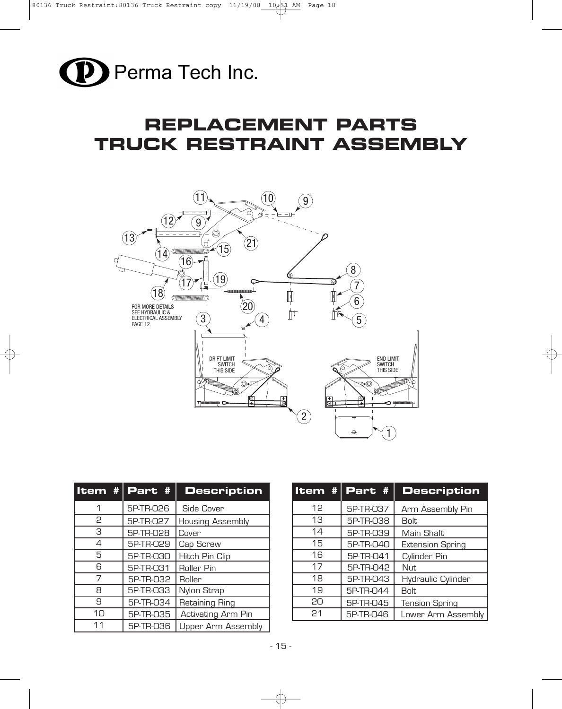

# **REPLACEMENT PARTS TRUCK RESTRAINT ASSEMBLY**



|                | Item $\#$ Part $\#$ | <b>Description</b>        |
|----------------|---------------------|---------------------------|
| 1              | 5P-TR-026           | Side Cover                |
| 2              | 5P-TR-027           | <b>Housing Assembly</b>   |
| 3              | 5P-TR-028           | Cover                     |
| $\overline{4}$ | 5P-TR-029           | Cap Screw                 |
| 5              | 5P-TR-030           | Hitch Pin Clip            |
| ട              | 5P-TR-031           | Roller Pin                |
| 7              | 5P-TR-032           | Roller                    |
| 8              | 5P-TR-033           | Nylon Strap               |
| 9              | 5P-TR-034           | Retaining Ring            |
| 10             | 5P-TR-035           | Activating Arm Pin        |
| 11             | 5P-TR-036           | <b>Upper Arm Assembly</b> |

| Item # | Part #    | <b>Description</b>      |
|--------|-----------|-------------------------|
| 12     | 5P-TR-037 | Arm Assembly Pin        |
| 13     | 5P-TR-038 | <b>Bolt</b>             |
| 14     | 5P-TR-039 | Main Shaft              |
| 15     | 5P-TR-040 | <b>Extension Spring</b> |
| 16     | 5P-TR-041 | Cylinder Pin            |
| 17     | 5P-TR-042 | <b>Nut</b>              |
| 18     | 5P-TR-043 | Hydraulic Cylinder      |
| 19     | 5P-TR-044 | <b>Bolt</b>             |
| 20     | 5P-TR-045 | <b>Tension Spring</b>   |
| 21     | 5P-TR-046 | Lower Arm Assembly      |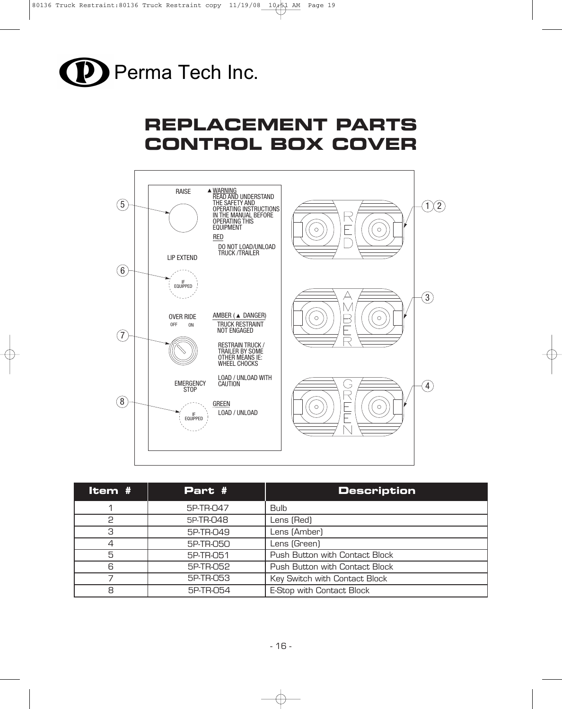

# **REPLACEMENT PARTS CONTROL BOX COVER**



| Item # | Part #    | <b>Description</b>             |
|--------|-----------|--------------------------------|
|        | 5P-TR-047 | <b>Bulb</b>                    |
| 2      | 5P-TR-048 | Lens (Red)                     |
| З      | 5P-TR-049 | Lens (Amber)                   |
| 4      | 5P-TR-050 | Lens (Green)                   |
| 5      | 5P-TR-051 | Push Button with Contact Block |
| 6      | 5P-TR-052 | Push Button with Contact Block |
|        | 5P-TR-053 | Key Switch with Contact Block  |
| 8      | 5P-TR-054 | E-Stop with Contact Block      |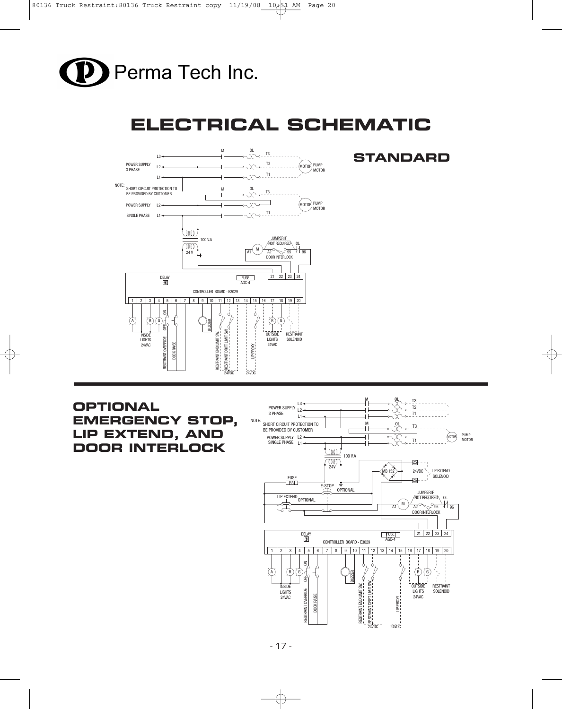

# **ELECTRICAL SCHEMATIC**



# **STANDARD**

# **OPTIONAL EMERGENCY STOP, LIP EXTEND, AND DOOR INTERLOCK**

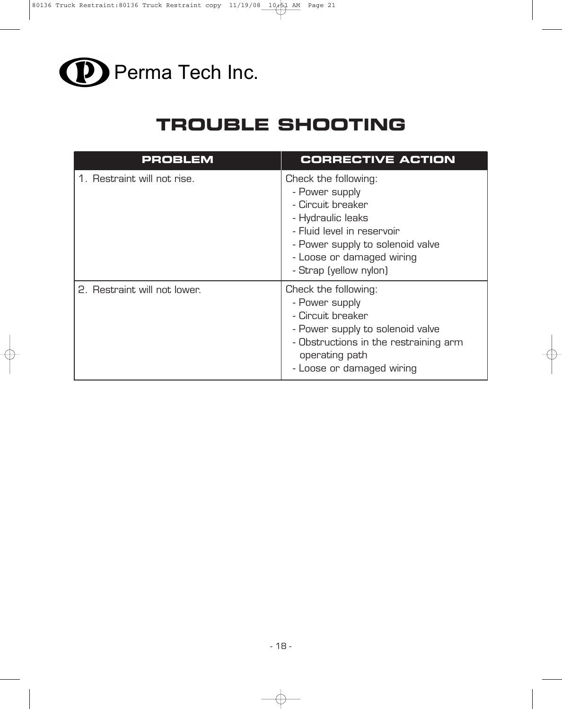

# **TROUBLE SHOOTING**

| <b>PROBLEM</b>               | <b>CORRECTIVE ACTION</b>                                                                                                                                                                                  |
|------------------------------|-----------------------------------------------------------------------------------------------------------------------------------------------------------------------------------------------------------|
| 1. Restraint will not rise.  | Check the following:<br>- Power supply<br>- Circuit breaker<br>- Hydraulic leaks<br>- Fluid level in reservoir<br>- Power supply to solenoid valve<br>- Loose or damaged wiring<br>- Strap (yellow nylon) |
| 2. Restraint will not lower. | Check the following:<br>- Power supply<br>- Circuit breaker<br>- Power supply to solenoid valve<br>- Obstructions in the restraining arm<br>operating path<br>- Loose or damaged wiring                   |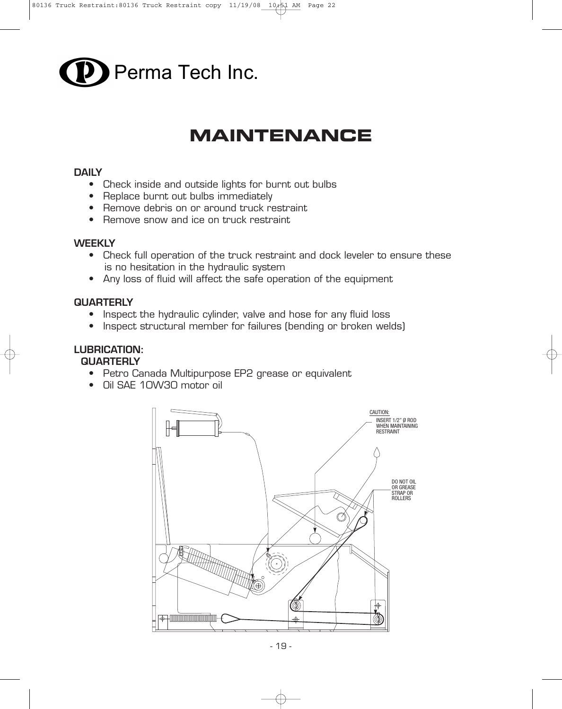

# **MAINTENANCE**

#### **DAILY**

- Check inside and outside lights for burnt out bulbs
- Replace burnt out bulbs immediately
- Remove debris on or around truck restraint
- Remove snow and ice on truck restraint

#### **WEEKLY**

- Check full operation of the truck restraint and dock leveler to ensure these is no hesitation in the hydraulic system
- Any loss of fluid will affect the safe operation of the equipment

#### **QUARTERLY**

- Inspect the hydraulic cylinder, valve and hose for any fluid loss
- Inspect structural member for failures (bending or broken welds)

# **LUBRICATION:**

### **QUARTERLY**

- Petro Canada Multipurpose EP2 grease or equivalent
- Oil SAE 10W30 motor oil

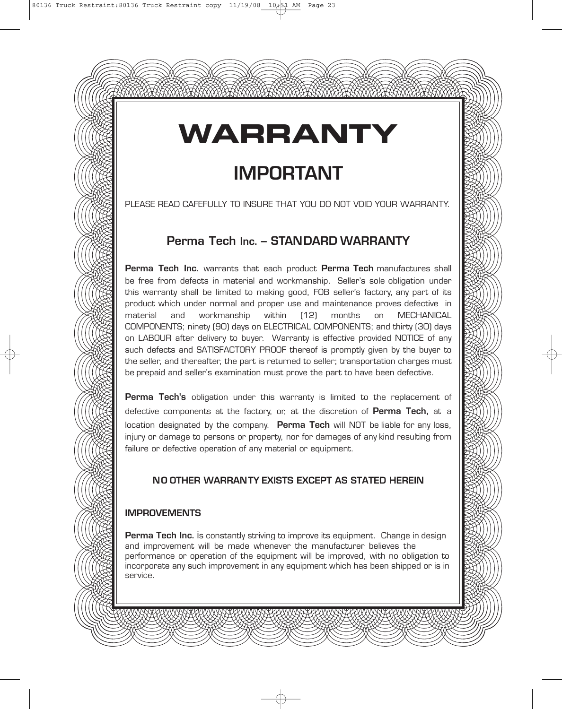# **WARRANTY**

# **IMPORTANT**

#### PLEASE READ CAFEFULLY TO INSURE THAT YOU DO NOT VOID YOUR WARRANTY.

# **Perma Tech Inc. – STANDARD WARRANTY**

**Perma Tech Inc.** warrants that each product **Perma Tech** manufactures shall be free from defects in material and workmanship. Seller's sole obligation under this warranty shall be limited to making good, FOB seller's factory, any part of its product which under normal and proper use and maintenance proves defective in material and workmanship within (12) months on MECHANICAL COMPONENTS; ninety (90) days on ELECTRICAL COMPONENTS; and thirty (30) days on LABOUR after delivery to buyer. Warranty is effective provided NOTICE of any such defects and SATISFACTORY PROOF thereof is promptly given by the buyer to the seller, and thereafter, the part is returned to seller; transportation charges must be prepaid and seller's examination must prove the part to have been defective.

**Perma Tech's** obligation under this warranty is limited to the replacement of defective components at the factory, or, at the discretion of **Perma Tech,** at a location designated by the company. **Perma Tech** will NOT be liable for any loss, injury or damage to persons or property, nor for damages of any kind resulting from failure or defective operation of any material or equipment.

## **NO OTHER WARRANTY EXISTS EXCEPT AS STATED HEREIN**

### **IMPROVEMENTS**

**Perma Tech Inc.** is constantly striving to improve its equipment. Change in design and improvement will be made whenever the manufacturer believes the performance or operation of the equipment will be improved, with no obligation to incorporate any such improvement in any equipment which has been shipped or is in service.